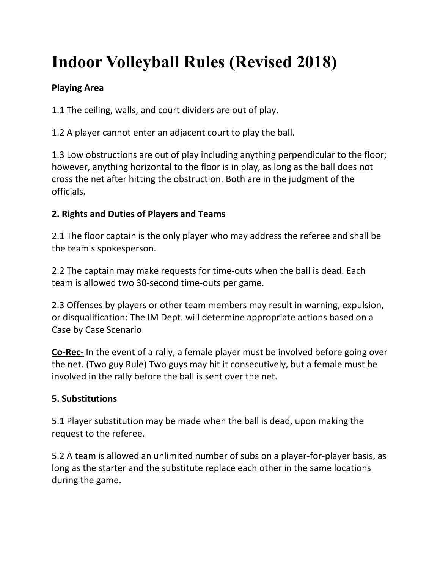# **Indoor Volleyball Rules (Revised 2018)**

# **Playing Area**

1.1 The ceiling, walls, and court dividers are out of play.

1.2 A player cannot enter an adjacent court to play the ball.

1.3 Low obstructions are out of play including anything perpendicular to the floor; however, anything horizontal to the floor is in play, as long as the ball does not cross the net after hitting the obstruction. Both are in the judgment of the officials.

# **2. Rights and Duties of Players and Teams**

2.1 The floor captain is the only player who may address the referee and shall be the team's spokesperson.

2.2 The captain may make requests for time-outs when the ball is dead. Each team is allowed two 30-second time-outs per game.

2.3 Offenses by players or other team members may result in warning, expulsion, or disqualification: The IM Dept. will determine appropriate actions based on a Case by Case Scenario

**Co-Rec-** In the event of a rally, a female player must be involved before going over the net. (Two guy Rule) Two guys may hit it consecutively, but a female must be involved in the rally before the ball is sent over the net.

# **5. Substitutions**

5.1 Player substitution may be made when the ball is dead, upon making the request to the referee.

5.2 A team is allowed an unlimited number of subs on a player-for-player basis, as long as the starter and the substitute replace each other in the same locations during the game.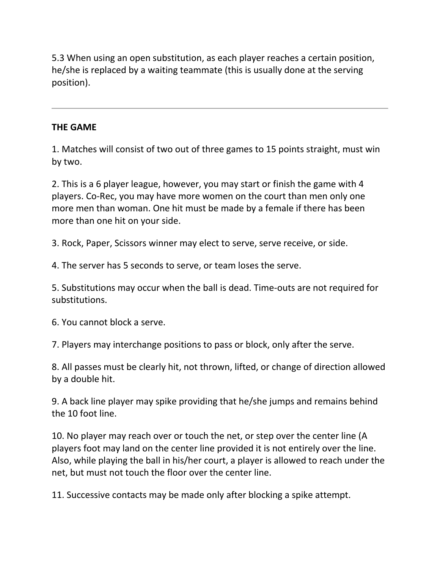5.3 When using an open substitution, as each player reaches a certain position, he/she is replaced by a waiting teammate (this is usually done at the serving position).

#### **THE GAME**

1. Matches will consist of two out of three games to 15 points straight, must win by two.

2. This is a 6 player league, however, you may start or finish the game with 4 players. Co-Rec, you may have more women on the court than men only one more men than woman. One hit must be made by a female if there has been more than one hit on your side.

3. Rock, Paper, Scissors winner may elect to serve, serve receive, or side.

4. The server has 5 seconds to serve, or team loses the serve.

5. Substitutions may occur when the ball is dead. Time-outs are not required for substitutions.

6. You cannot block a serve.

7. Players may interchange positions to pass or block, only after the serve.

8. All passes must be clearly hit, not thrown, lifted, or change of direction allowed by a double hit.

9. A back line player may spike providing that he/she jumps and remains behind the 10 foot line.

10. No player may reach over or touch the net, or step over the center line (A players foot may land on the center line provided it is not entirely over the line. Also, while playing the ball in his/her court, a player is allowed to reach under the net, but must not touch the floor over the center line.

11. Successive contacts may be made only after blocking a spike attempt.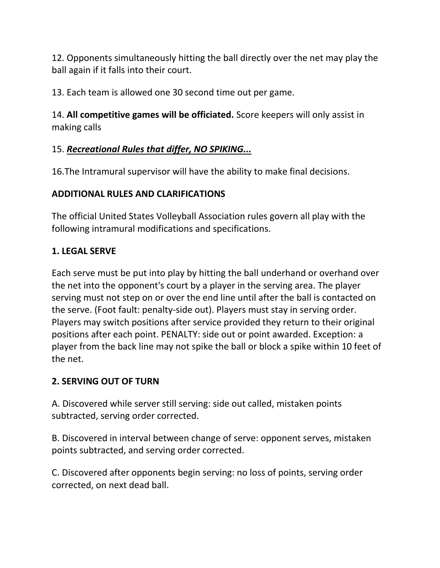12. Opponents simultaneously hitting the ball directly over the net may play the ball again if it falls into their court.

13. Each team is allowed one 30 second time out per game.

14. **All competitive games will be officiated.** Score keepers will only assist in making calls

## 15. *Recreational Rules that differ, NO SPIKING...*

16.The Intramural supervisor will have the ability to make final decisions.

## **ADDITIONAL RULES AND CLARIFICATIONS**

The official United States Volleyball Association rules govern all play with the following intramural modifications and specifications.

## **1. LEGAL SERVE**

Each serve must be put into play by hitting the ball underhand or overhand over the net into the opponent's court by a player in the serving area. The player serving must not step on or over the end line until after the ball is contacted on the serve. (Foot fault: penalty-side out). Players must stay in serving order. Players may switch positions after service provided they return to their original positions after each point. PENALTY: side out or point awarded. Exception: a player from the back line may not spike the ball or block a spike within 10 feet of the net.

# **2. SERVING OUT OF TURN**

A. Discovered while server still serving: side out called, mistaken points subtracted, serving order corrected.

B. Discovered in interval between change of serve: opponent serves, mistaken points subtracted, and serving order corrected.

C. Discovered after opponents begin serving: no loss of points, serving order corrected, on next dead ball.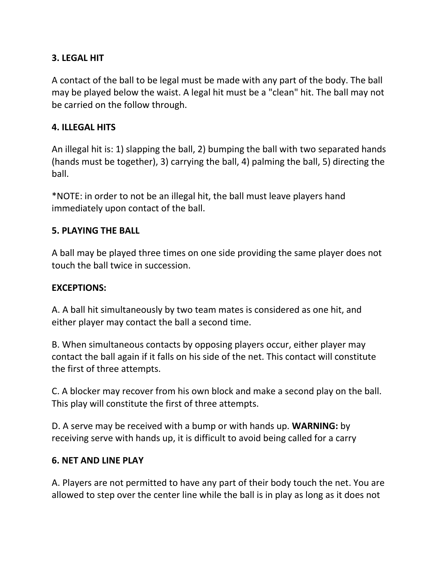#### **3. LEGAL HIT**

A contact of the ball to be legal must be made with any part of the body. The ball may be played below the waist. A legal hit must be a "clean" hit. The ball may not be carried on the follow through.

#### **4. ILLEGAL HITS**

An illegal hit is: 1) slapping the ball, 2) bumping the ball with two separated hands (hands must be together), 3) carrying the ball, 4) palming the ball, 5) directing the ball.

\*NOTE: in order to not be an illegal hit, the ball must leave players hand immediately upon contact of the ball.

#### **5. PLAYING THE BALL**

A ball may be played three times on one side providing the same player does not touch the ball twice in succession.

#### **EXCEPTIONS:**

A. A ball hit simultaneously by two team mates is considered as one hit, and either player may contact the ball a second time.

B. When simultaneous contacts by opposing players occur, either player may contact the ball again if it falls on his side of the net. This contact will constitute the first of three attempts.

C. A blocker may recover from his own block and make a second play on the ball. This play will constitute the first of three attempts.

D. A serve may be received with a bump or with hands up. **WARNING:** by receiving serve with hands up, it is difficult to avoid being called for a carry

#### **6. NET AND LINE PLAY**

A. Players are not permitted to have any part of their body touch the net. You are allowed to step over the center line while the ball is in play as long as it does not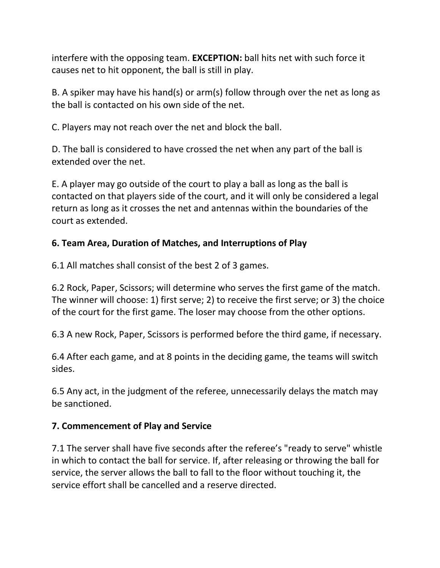interfere with the opposing team. **EXCEPTION:** ball hits net with such force it causes net to hit opponent, the ball is still in play.

B. A spiker may have his hand(s) or arm(s) follow through over the net as long as the ball is contacted on his own side of the net.

C. Players may not reach over the net and block the ball.

D. The ball is considered to have crossed the net when any part of the ball is extended over the net.

E. A player may go outside of the court to play a ball as long as the ball is contacted on that players side of the court, and it will only be considered a legal return as long as it crosses the net and antennas within the boundaries of the court as extended.

## **6. Team Area, Duration of Matches, and Interruptions of Play**

6.1 All matches shall consist of the best 2 of 3 games.

6.2 Rock, Paper, Scissors; will determine who serves the first game of the match. The winner will choose: 1) first serve; 2) to receive the first serve; or 3) the choice of the court for the first game. The loser may choose from the other options.

6.3 A new Rock, Paper, Scissors is performed before the third game, if necessary.

6.4 After each game, and at 8 points in the deciding game, the teams will switch sides.

6.5 Any act, in the judgment of the referee, unnecessarily delays the match may be sanctioned.

#### **7. Commencement of Play and Service**

7.1 The server shall have five seconds after the referee's "ready to serve" whistle in which to contact the ball for service. If, after releasing or throwing the ball for service, the server allows the ball to fall to the floor without touching it, the service effort shall be cancelled and a reserve directed.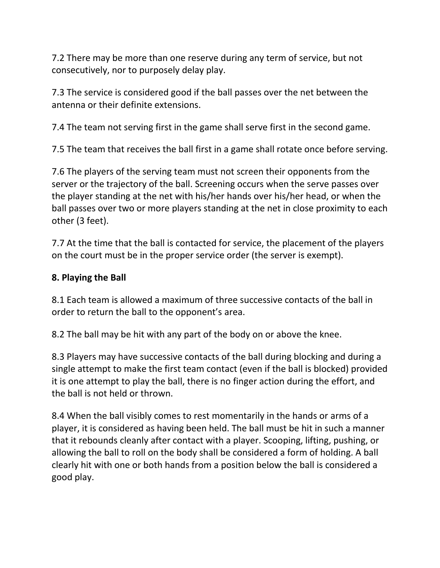7.2 There may be more than one reserve during any term of service, but not consecutively, nor to purposely delay play.

7.3 The service is considered good if the ball passes over the net between the antenna or their definite extensions.

7.4 The team not serving first in the game shall serve first in the second game.

7.5 The team that receives the ball first in a game shall rotate once before serving.

7.6 The players of the serving team must not screen their opponents from the server or the trajectory of the ball. Screening occurs when the serve passes over the player standing at the net with his/her hands over his/her head, or when the ball passes over two or more players standing at the net in close proximity to each other (3 feet).

7.7 At the time that the ball is contacted for service, the placement of the players on the court must be in the proper service order (the server is exempt).

## **8. Playing the Ball**

8.1 Each team is allowed a maximum of three successive contacts of the ball in order to return the ball to the opponent's area.

8.2 The ball may be hit with any part of the body on or above the knee.

8.3 Players may have successive contacts of the ball during blocking and during a single attempt to make the first team contact (even if the ball is blocked) provided it is one attempt to play the ball, there is no finger action during the effort, and the ball is not held or thrown.

8.4 When the ball visibly comes to rest momentarily in the hands or arms of a player, it is considered as having been held. The ball must be hit in such a manner that it rebounds cleanly after contact with a player. Scooping, lifting, pushing, or allowing the ball to roll on the body shall be considered a form of holding. A ball clearly hit with one or both hands from a position below the ball is considered a good play.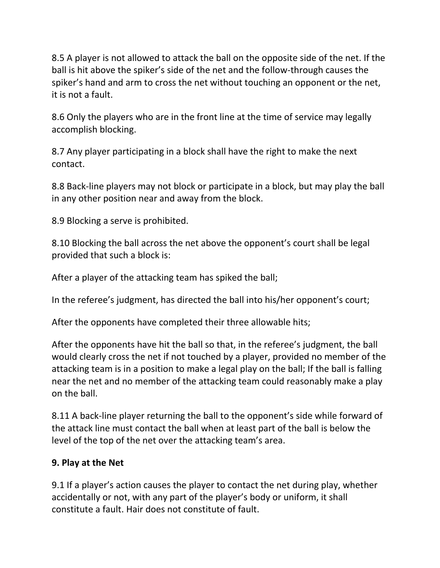8.5 A player is not allowed to attack the ball on the opposite side of the net. If the ball is hit above the spiker's side of the net and the follow-through causes the spiker's hand and arm to cross the net without touching an opponent or the net, it is not a fault.

8.6 Only the players who are in the front line at the time of service may legally accomplish blocking.

8.7 Any player participating in a block shall have the right to make the next contact.

8.8 Back-line players may not block or participate in a block, but may play the ball in any other position near and away from the block.

8.9 Blocking a serve is prohibited.

8.10 Blocking the ball across the net above the opponent's court shall be legal provided that such a block is:

After a player of the attacking team has spiked the ball;

In the referee's judgment, has directed the ball into his/her opponent's court;

After the opponents have completed their three allowable hits;

After the opponents have hit the ball so that, in the referee's judgment, the ball would clearly cross the net if not touched by a player, provided no member of the attacking team is in a position to make a legal play on the ball; If the ball is falling near the net and no member of the attacking team could reasonably make a play on the ball.

8.11 A back-line player returning the ball to the opponent's side while forward of the attack line must contact the ball when at least part of the ball is below the level of the top of the net over the attacking team's area.

# **9. Play at the Net**

9.1 If a player's action causes the player to contact the net during play, whether accidentally or not, with any part of the player's body or uniform, it shall constitute a fault. Hair does not constitute of fault.